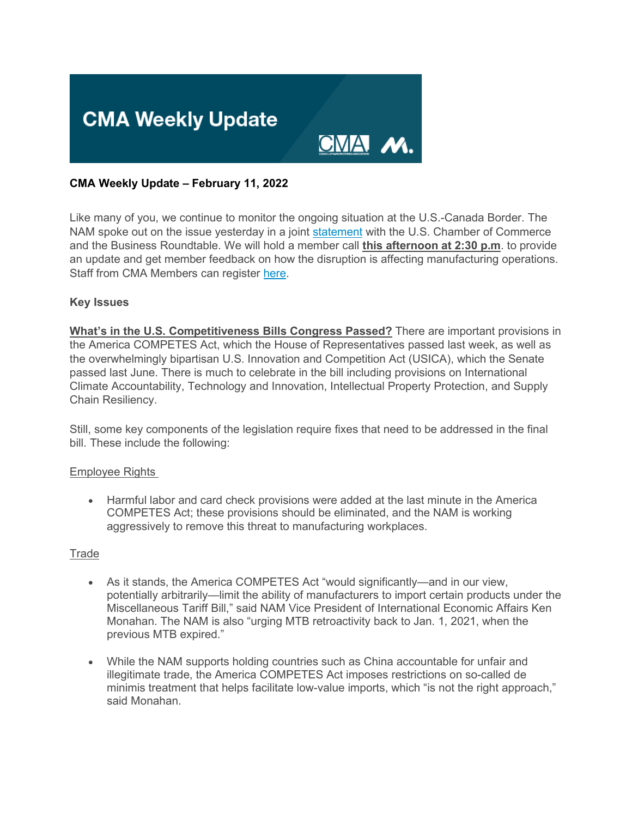

#### **CMA Weekly Update – February 11, 2022**

Like many of you, we continue to monitor the ongoing situation at the U.S.-Canada Border. The NAM spoke out on the issue yesterday in a joint [statement](https://click.email.nam.org/?qs=9ef656fc330eccd9d06008bb43786b00dabb2f6d10ac372aef9e2f9683199f62c4ffe1a74df4c18a7dde71a79caeff2ac59b1388ebb5c095) with the U.S. Chamber of Commerce and the Business Roundtable. We will hold a member call **this afternoon at 2:30 p.m**. to provide an update and get member feedback on how the disruption is affecting manufacturing operations. Staff from CMA Members can register [here.](https://click.email.nam.org/?qs=28d99616ec31f944b75af679b56f8f16e837d00a5fb7006daff1b580ad3328aa3607a3773e6606cf1344e2acd33039c1b52ab3b5d92a4005)

#### **Key Issues**

**What's in the U.S. Competitiveness Bills Congress Passed?** There are important provisions in the America COMPETES Act, which the House of Representatives passed last week, as well as the overwhelmingly bipartisan U.S. Innovation and Competition Act (USICA), which the Senate passed last June. There is much to celebrate in the bill including provisions on International Climate Accountability, Technology and Innovation, Intellectual Property Protection, and Supply Chain Resiliency.

Still, some key components of the legislation require fixes that need to be addressed in the final bill. These include the following:

#### Employee Rights

• Harmful labor and card check provisions were added at the last minute in the America COMPETES Act; these provisions should be eliminated, and the NAM is working aggressively to remove this threat to manufacturing workplaces.

#### **Trade**

- As it stands, the America COMPETES Act "would significantly—and in our view, potentially arbitrarily—limit the ability of manufacturers to import certain products under the Miscellaneous Tariff Bill," said NAM Vice President of International Economic Affairs Ken Monahan. The NAM is also "urging MTB retroactivity back to Jan. 1, 2021, when the previous MTB expired."
- While the NAM supports holding countries such as China accountable for unfair and illegitimate trade, the America COMPETES Act imposes restrictions on so-called de minimis treatment that helps facilitate low-value imports, which "is not the right approach," said Monahan.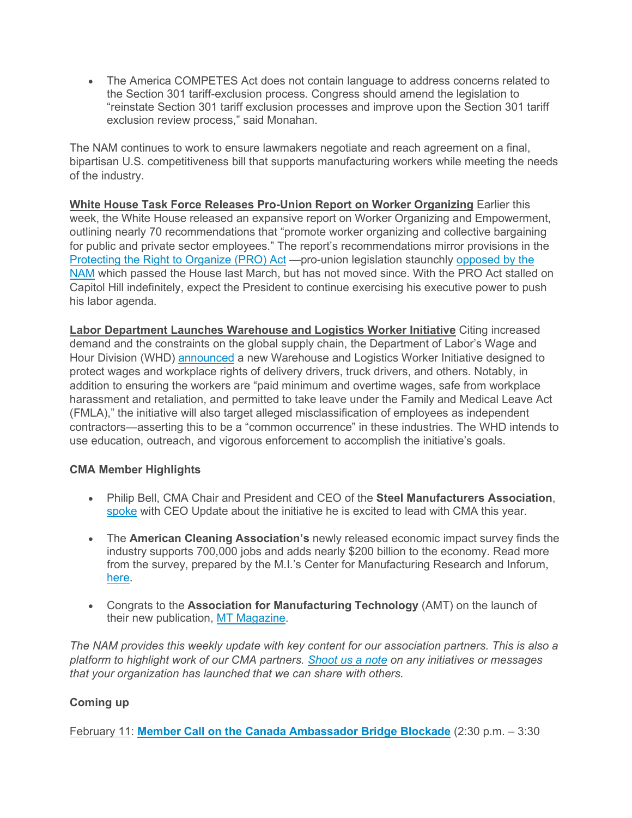• The America COMPETES Act does not contain language to address concerns related to the Section 301 tariff-exclusion process. Congress should amend the legislation to "reinstate Section 301 tariff exclusion processes and improve upon the Section 301 tariff exclusion review process," said Monahan.

The NAM continues to work to ensure lawmakers negotiate and reach agreement on a final, bipartisan U.S. competitiveness bill that supports manufacturing workers while meeting the needs of the industry.

**White House Task Force Releases Pro-Union Report on Worker Organizing** Earlier this week, the White House released an expansive report on Worker Organizing and Empowerment, outlining nearly 70 recommendations that "promote worker organizing and collective bargaining for public and private sector employees." The report's recommendations mirror provisions in the [Protecting the Right to Organize \(PRO\) Act](https://click.email.nam.org/?qs=28d99616ec31f944b499e3874f18ab1bd8b596003428a2822ade85f26979b975fa40b136ca79187cc1256ba7b3c348f4a69f8044de6a17c1) —pro-union legislation staunchly [opposed by the](https://click.email.nam.org/?qs=28d99616ec31f944f9a66f1b9eeef49d8bd20a57cb9a32e4ead813578dfa2168c51bdb8c75663febeba322b2ea158cc8653de5f67b1b544d)  [NAM](https://click.email.nam.org/?qs=28d99616ec31f944f9a66f1b9eeef49d8bd20a57cb9a32e4ead813578dfa2168c51bdb8c75663febeba322b2ea158cc8653de5f67b1b544d) which passed the House last March, but has not moved since. With the PRO Act stalled on Capitol Hill indefinitely, expect the President to continue exercising his executive power to push his labor agenda.

**Labor Department Launches Warehouse and Logistics Worker Initiative** Citing increased demand and the constraints on the global supply chain, the Department of Labor's Wage and Hour Division (WHD) [announced](https://click.email.nam.org/?qs=28d99616ec31f944e41488ae9a12dd297af296b2fa5d414c3c48629cce074a1c723cbc0ea14bcbe517604fa849abfa7cea041539be0443b2) a new Warehouse and Logistics Worker Initiative designed to protect wages and workplace rights of delivery drivers, truck drivers, and others. Notably, in addition to ensuring the workers are "paid minimum and overtime wages, safe from workplace harassment and retaliation, and permitted to take leave under the Family and Medical Leave Act (FMLA)," the initiative will also target alleged misclassification of employees as independent contractors—asserting this to be a "common occurrence" in these industries. The WHD intends to use education, outreach, and vigorous enforcement to accomplish the initiative's goals.

## **CMA Member Highlights**

- Philip Bell, CMA Chair and President and CEO of the **Steel Manufacturers Association**, [spoke](https://click.email.nam.org/?qs=28d99616ec31f9444317d130499aca42cc2f1df0023e19579b71ee0edd9ce909dc07373e4fa38c05047b82f1ec497632b85d70b1ccc52659) with CEO Update about the initiative he is excited to lead with CMA this year.
- The **American Cleaning Association's** newly released economic impact survey finds the industry supports 700,000 jobs and adds nearly \$200 billion to the economy. Read more from the survey, prepared by the M.I.'s Center for Manufacturing Research and Inforum, [here.](https://click.email.nam.org/?qs=28d99616ec31f944a4f9660e4a1b6201ffe816691444ea8c2b73c60832b061af302c9cf2ede0aebf3d3fc99d96907cfd6299a0c2fc877f29)
- Congrats to the **Association for Manufacturing Technology** (AMT) on the launch of their new publication, [MT Magazine.](https://click.email.nam.org/?qs=28d99616ec31f9448867ca9babc5a94c6fbe09ceeacb4fa43ca337ad5d9bc09de3aebe0dfe969b9d441e0a29218919db0288ec6070cbbff2)

*The NAM provides this weekly update with key content for our association partners. This is also a platform to highlight work of our CMA partners. [Shoot us a note](mailto:sthompson@nam.org?subject=) on any initiatives or messages that your organization has launched that we can share with others.*

## **Coming up**

February 11: **[Member Call on the Canada Ambassador Bridge Blockade](https://click.email.nam.org/?qs=28d99616ec31f944b75af679b56f8f16e837d00a5fb7006daff1b580ad3328aa3607a3773e6606cf1344e2acd33039c1b52ab3b5d92a4005)** (2:30 p.m. – 3:30